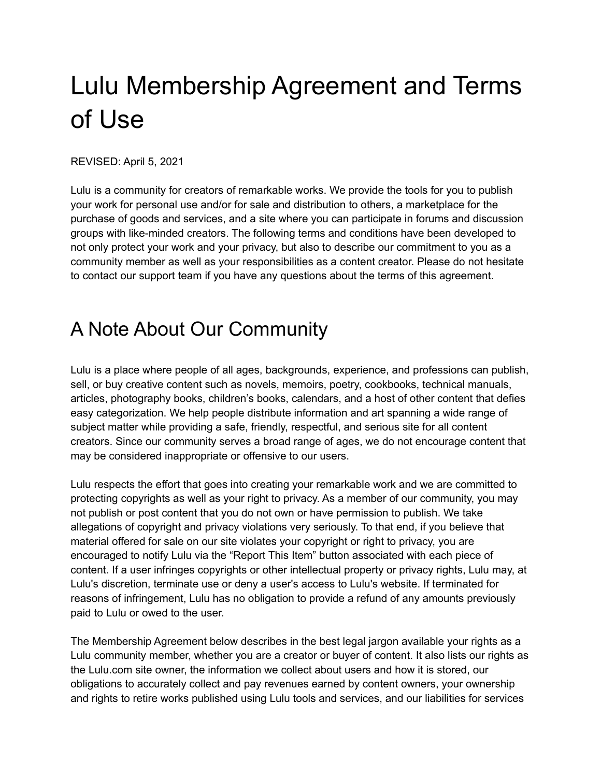# Lulu Membership Agreement and Terms of Use

REVISED: April 5, 2021

Lulu is a community for creators of remarkable works. We provide the tools for you to publish your work for personal use and/or for sale and distribution to others, a marketplace for the purchase of goods and services, and a site where you can participate in forums and discussion groups with like-minded creators. The following terms and conditions have been developed to not only protect your work and your privacy, but also to describe our commitment to you as a community member as well as your responsibilities as a content creator. Please do not hesitate to contact our support team if you have any questions about the terms of this agreement.

## A Note About Our Community

Lulu is a place where people of all ages, backgrounds, experience, and professions can publish, sell, or buy creative content such as novels, memoirs, poetry, cookbooks, technical manuals, articles, photography books, children's books, calendars, and a host of other content that defies easy categorization. We help people distribute information and art spanning a wide range of subject matter while providing a safe, friendly, respectful, and serious site for all content creators. Since our community serves a broad range of ages, we do not encourage content that may be considered inappropriate or offensive to our users.

Lulu respects the effort that goes into creating your remarkable work and we are committed to protecting copyrights as well as your right to privacy. As a member of our community, you may not publish or post content that you do not own or have permission to publish. We take allegations of copyright and privacy violations very seriously. To that end, if you believe that material offered for sale on our site violates your copyright or right to privacy, you are encouraged to notify Lulu via the "Report This Item" button associated with each piece of content. If a user infringes copyrights or other intellectual property or privacy rights, Lulu may, at Lulu's discretion, terminate use or deny a user's access to Lulu's website. If terminated for reasons of infringement, Lulu has no obligation to provide a refund of any amounts previously paid to Lulu or owed to the user.

The Membership Agreement below describes in the best legal jargon available your rights as a Lulu community member, whether you are a creator or buyer of content. It also lists our rights as the Lulu.com site owner, the information we collect about users and how it is stored, our obligations to accurately collect and pay revenues earned by content owners, your ownership and rights to retire works published using Lulu tools and services, and our liabilities for services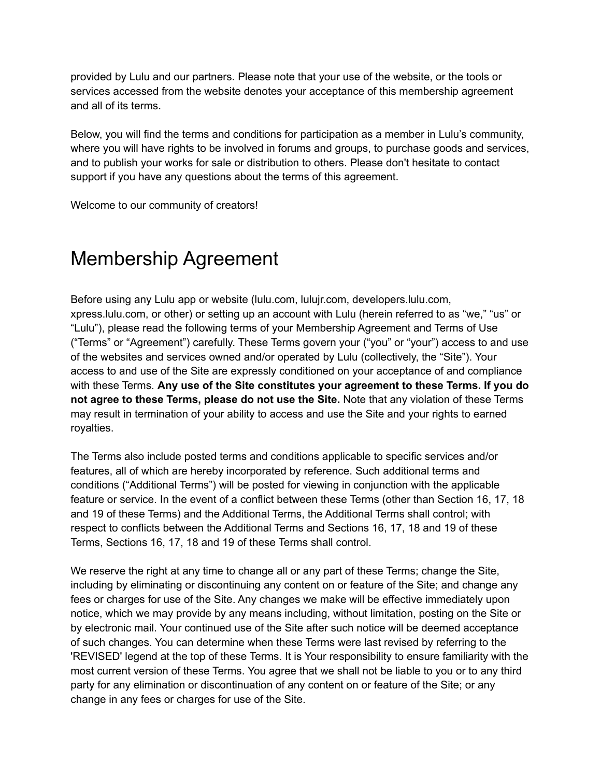provided by Lulu and our partners. Please note that your use of the website, or the tools or services accessed from the website denotes your acceptance of this membership agreement and all of its terms.

Below, you will find the terms and conditions for participation as a member in Lulu's community, where you will have rights to be involved in forums and groups, to purchase goods and services, and to publish your works for sale or distribution to others. Please don't hesitate to contact support if you have any questions about the terms of this agreement.

Welcome to our community of creators!

## Membership Agreement

Before using any Lulu app or website (lulu.com, lulujr.com, developers.lulu.com, xpress.lulu.com, or other) or setting up an account with Lulu (herein referred to as "we," "us" or "Lulu"), please read the following terms of your Membership Agreement and Terms of Use ("Terms" or "Agreement") carefully. These Terms govern your ("you" or "your") access to and use of the websites and services owned and/or operated by Lulu (collectively, the "Site"). Your access to and use of the Site are expressly conditioned on your acceptance of and compliance with these Terms. **Any use of the Site constitutes your agreement to these Terms. If you do not agree to these Terms, please do not use the Site.** Note that any violation of these Terms may result in termination of your ability to access and use the Site and your rights to earned royalties.

The Terms also include posted terms and conditions applicable to specific services and/or features, all of which are hereby incorporated by reference. Such additional terms and conditions ("Additional Terms") will be posted for viewing in conjunction with the applicable feature or service. In the event of a conflict between these Terms (other than Section 16, 17, 18 and 19 of these Terms) and the Additional Terms, the Additional Terms shall control; with respect to conflicts between the Additional Terms and Sections 16, 17, 18 and 19 of these Terms, Sections 16, 17, 18 and 19 of these Terms shall control.

We reserve the right at any time to change all or any part of these Terms; change the Site, including by eliminating or discontinuing any content on or feature of the Site; and change any fees or charges for use of the Site. Any changes we make will be effective immediately upon notice, which we may provide by any means including, without limitation, posting on the Site or by electronic mail. Your continued use of the Site after such notice will be deemed acceptance of such changes. You can determine when these Terms were last revised by referring to the 'REVISED' legend at the top of these Terms. It is Your responsibility to ensure familiarity with the most current version of these Terms. You agree that we shall not be liable to you or to any third party for any elimination or discontinuation of any content on or feature of the Site; or any change in any fees or charges for use of the Site.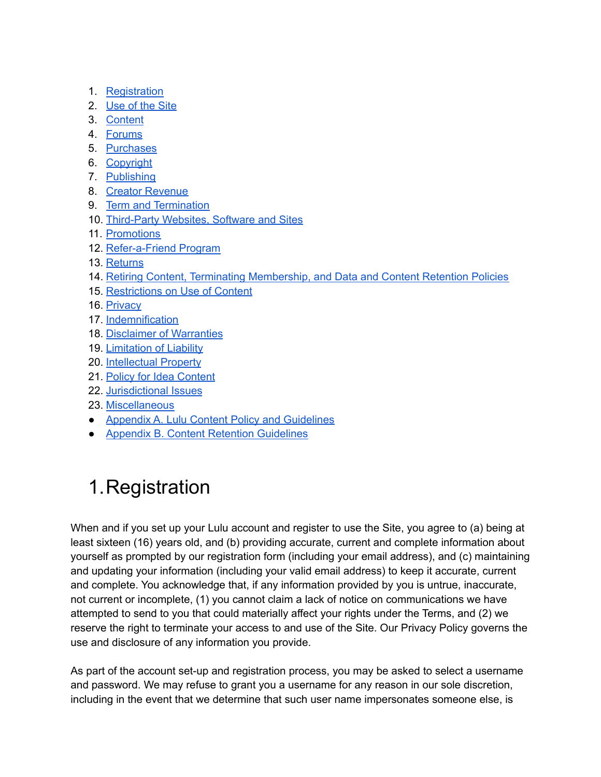- 1. [Registration](#page-2-0)
- 2. [Use](#page-3-0) of the Site
- 3. [Content](#page-4-0)
- 4. [Forums](#page-6-0)
- 5. [Purchases](#page-7-0)
- 6. [Copyright](#page-8-0)
- 7. [Publishing](#page-8-1)
- 8. Creator [Revenue](#page-9-0)
- 9. Term and [Termination](#page-11-0)
- 10. [Third-Party](#page-11-1) Websites, Software and Sites
- 11. [Promotions](#page-12-0)
- 12. [Refer-a-Friend](#page-13-0) Program
- 13. [Returns](#page-14-0)
- 14. Retiring Content, Terminating [Membership,](#page-14-1) and Data and Content Retention Policies
- 15. [Restrictions](#page-15-0) on Use of Content
- 16. [Privacy](#page-16-0)
- 17. [Indemnification](#page-17-0)
- 18. Disclaimer of [Warranties](#page-17-1)
- 19. [Limitation](#page-18-0) of Liability
- 20. [Intellectual](#page-19-0) Property
- 21. Policy for Idea [Content](#page-19-1)
- 22. [Jurisdictional](#page-20-0) Issues
- 23. [Miscellaneous](#page-20-1)
- Appendix A. Lulu Content Policy and [Guidelines](#page-22-0)
- Appendix B. Content Retention [Guidelines](#page-23-0)

## <span id="page-2-0"></span>1.Registration

When and if you set up your Lulu account and register to use the Site, you agree to (a) being at least sixteen (16) years old, and (b) providing accurate, current and complete information about yourself as prompted by our registration form (including your email address), and (c) maintaining and updating your information (including your valid email address) to keep it accurate, current and complete. You acknowledge that, if any information provided by you is untrue, inaccurate, not current or incomplete, (1) you cannot claim a lack of notice on communications we have attempted to send to you that could materially affect your rights under the Terms, and (2) we reserve the right to terminate your access to and use of the Site. Our Privacy Policy governs the use and disclosure of any information you provide.

As part of the account set-up and registration process, you may be asked to select a username and password. We may refuse to grant you a username for any reason in our sole discretion, including in the event that we determine that such user name impersonates someone else, is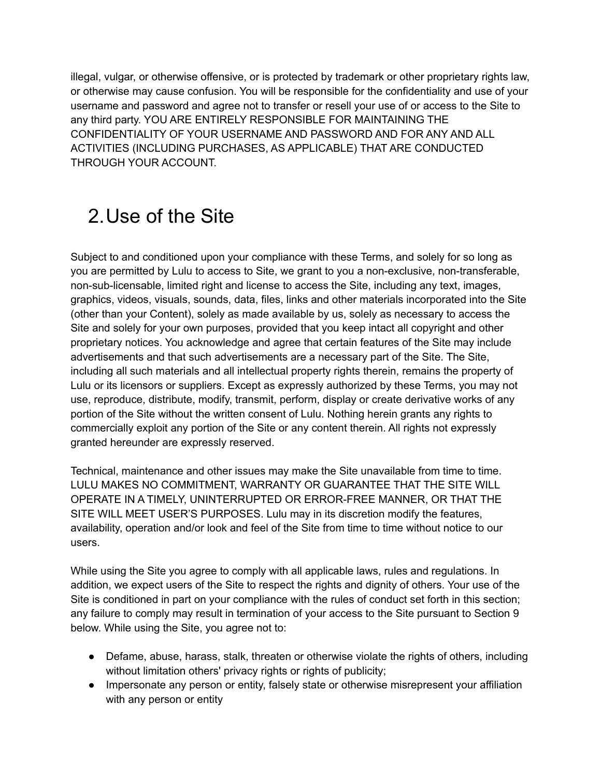illegal, vulgar, or otherwise offensive, or is protected by trademark or other proprietary rights law, or otherwise may cause confusion. You will be responsible for the confidentiality and use of your username and password and agree not to transfer or resell your use of or access to the Site to any third party. YOU ARE ENTIRELY RESPONSIBLE FOR MAINTAINING THE CONFIDENTIALITY OF YOUR USERNAME AND PASSWORD AND FOR ANY AND ALL ACTIVITIES (INCLUDING PURCHASES, AS APPLICABLE) THAT ARE CONDUCTED THROUGH YOUR ACCOUNT.

## <span id="page-3-0"></span>2.Use of the Site

Subject to and conditioned upon your compliance with these Terms, and solely for so long as you are permitted by Lulu to access to Site, we grant to you a non-exclusive, non-transferable, non-sub-licensable, limited right and license to access the Site, including any text, images, graphics, videos, visuals, sounds, data, files, links and other materials incorporated into the Site (other than your Content), solely as made available by us, solely as necessary to access the Site and solely for your own purposes, provided that you keep intact all copyright and other proprietary notices. You acknowledge and agree that certain features of the Site may include advertisements and that such advertisements are a necessary part of the Site. The Site, including all such materials and all intellectual property rights therein, remains the property of Lulu or its licensors or suppliers. Except as expressly authorized by these Terms, you may not use, reproduce, distribute, modify, transmit, perform, display or create derivative works of any portion of the Site without the written consent of Lulu. Nothing herein grants any rights to commercially exploit any portion of the Site or any content therein. All rights not expressly granted hereunder are expressly reserved.

Technical, maintenance and other issues may make the Site unavailable from time to time. LULU MAKES NO COMMITMENT, WARRANTY OR GUARANTEE THAT THE SITE WILL OPERATE IN A TIMELY, UNINTERRUPTED OR ERROR-FREE MANNER, OR THAT THE SITE WILL MEET USER'S PURPOSES. Lulu may in its discretion modify the features, availability, operation and/or look and feel of the Site from time to time without notice to our users.

While using the Site you agree to comply with all applicable laws, rules and regulations. In addition, we expect users of the Site to respect the rights and dignity of others. Your use of the Site is conditioned in part on your compliance with the rules of conduct set forth in this section; any failure to comply may result in termination of your access to the Site pursuant to Section 9 below. While using the Site, you agree not to:

- Defame, abuse, harass, stalk, threaten or otherwise violate the rights of others, including without limitation others' privacy rights or rights of publicity;
- Impersonate any person or entity, falsely state or otherwise misrepresent your affiliation with any person or entity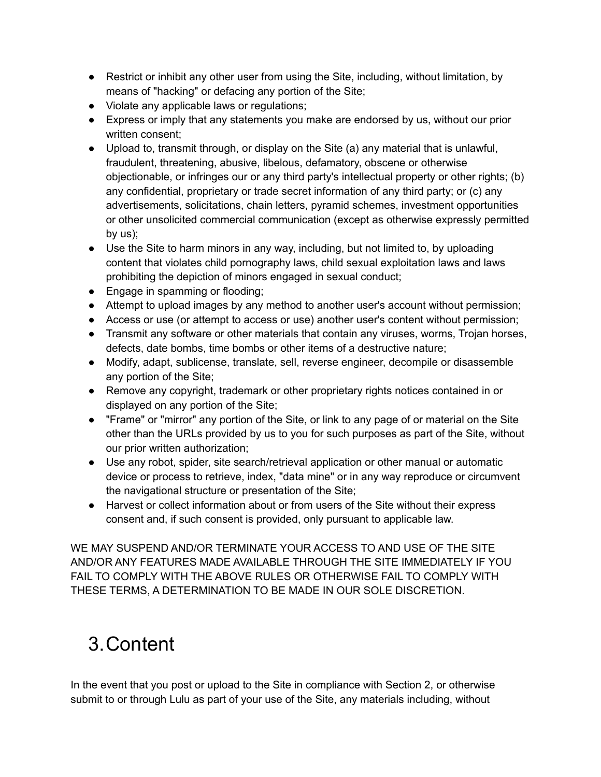- Restrict or inhibit any other user from using the Site, including, without limitation, by means of "hacking" or defacing any portion of the Site;
- Violate any applicable laws or regulations;
- Express or imply that any statements you make are endorsed by us, without our prior written consent;
- Upload to, transmit through, or display on the Site (a) any material that is unlawful, fraudulent, threatening, abusive, libelous, defamatory, obscene or otherwise objectionable, or infringes our or any third party's intellectual property or other rights; (b) any confidential, proprietary or trade secret information of any third party; or (c) any advertisements, solicitations, chain letters, pyramid schemes, investment opportunities or other unsolicited commercial communication (except as otherwise expressly permitted by us);
- Use the Site to harm minors in any way, including, but not limited to, by uploading content that violates child pornography laws, child sexual exploitation laws and laws prohibiting the depiction of minors engaged in sexual conduct;
- Engage in spamming or flooding;
- Attempt to upload images by any method to another user's account without permission;
- Access or use (or attempt to access or use) another user's content without permission;
- Transmit any software or other materials that contain any viruses, worms, Trojan horses, defects, date bombs, time bombs or other items of a destructive nature;
- Modify, adapt, sublicense, translate, sell, reverse engineer, decompile or disassemble any portion of the Site;
- Remove any copyright, trademark or other proprietary rights notices contained in or displayed on any portion of the Site;
- "Frame" or "mirror" any portion of the Site, or link to any page of or material on the Site other than the URLs provided by us to you for such purposes as part of the Site, without our prior written authorization;
- Use any robot, spider, site search/retrieval application or other manual or automatic device or process to retrieve, index, "data mine" or in any way reproduce or circumvent the navigational structure or presentation of the Site;
- Harvest or collect information about or from users of the Site without their express consent and, if such consent is provided, only pursuant to applicable law.

WE MAY SUSPEND AND/OR TERMINATE YOUR ACCESS TO AND USE OF THE SITE AND/OR ANY FEATURES MADE AVAILABLE THROUGH THE SITE IMMEDIATELY IF YOU FAIL TO COMPLY WITH THE ABOVE RULES OR OTHERWISE FAIL TO COMPLY WITH THESE TERMS, A DETERMINATION TO BE MADE IN OUR SOLE DISCRETION.

## <span id="page-4-0"></span>3.Content

In the event that you post or upload to the Site in compliance with Section 2, or otherwise submit to or through Lulu as part of your use of the Site, any materials including, without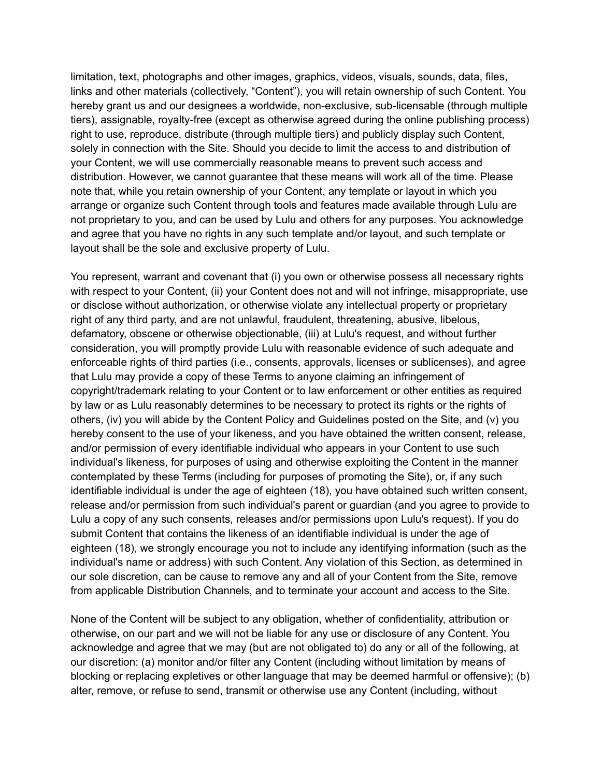limitation, text, photographs and other images, graphics, videos, visuals, sounds, data, files, links and other materials (collectively, "Content"), you will retain ownership of such Content. You hereby grant us and our designees a worldwide, non-exclusive, sub-licensable (through multiple tiers), assignable, royalty-free (except as otherwise agreed during the online publishing process) right to use, reproduce, distribute (through multiple tiers) and publicly display such Content, solely in connection with the Site. Should you decide to limit the access to and distribution of your Content, we will use commercially reasonable means to prevent such access and distribution. However, we cannot guarantee that these means will work all of the time. Please note that, while you retain ownership of your Content, any template or layout in which you arrange or organize such Content through tools and features made available through Lulu are not proprietary to you, and can be used by Lulu and others for any purposes. You acknowledge and agree that you have no rights in any such template and/or layout, and such template or layout shall be the sole and exclusive property of Lulu.

You represent, warrant and covenant that (i) you own or otherwise possess all necessary rights with respect to your Content, (ii) your Content does not and will not infringe, misappropriate, use or disclose without authorization, or otherwise violate any intellectual property or proprietary right of any third party, and are not unlawful, fraudulent, threatening, abusive, libelous, defamatory, obscene or otherwise objectionable, (iii) at Lulu's request, and without further consideration, you will promptly provide Lulu with reasonable evidence of such adequate and enforceable rights of third parties (i.e., consents, approvals, licenses or sublicenses), and agree that Lulu may provide a copy of these Terms to anyone claiming an infringement of copyright/trademark relating to your Content or to law enforcement or other entities as required by law or as Lulu reasonably determines to be necessary to protect its rights or the rights of others, (iv) you will abide by the Content Policy and Guidelines posted on the Site, and (v) you hereby consent to the use of your likeness, and you have obtained the written consent, release, and/or permission of every identifiable individual who appears in your Content to use such individual's likeness, for purposes of using and otherwise exploiting the Content in the manner contemplated by these Terms (including for purposes of promoting the Site), or, if any such identifiable individual is under the age of eighteen (18), you have obtained such written consent, release and/or permission from such individual's parent or guardian (and you agree to provide to Lulu a copy of any such consents, releases and/or permissions upon Lulu's request). If you do submit Content that contains the likeness of an identifiable individual is under the age of eighteen (18), we strongly encourage you not to include any identifying information (such as the individual's name or address) with such Content. Any violation of this Section, as determined in our sole discretion, can be cause to remove any and all of your Content from the Site, remove from applicable Distribution Channels, and to terminate your account and access to the Site.

None of the Content will be subject to any obligation, whether of confidentiality, attribution or otherwise, on our part and we will not be liable for any use or disclosure of any Content. You acknowledge and agree that we may (but are not obligated to) do any or all of the following, at our discretion: (a) monitor and/or filter any Content (including without limitation by means of blocking or replacing expletives or other language that may be deemed harmful or offensive); (b) alter, remove, or refuse to send, transmit or otherwise use any Content (including, without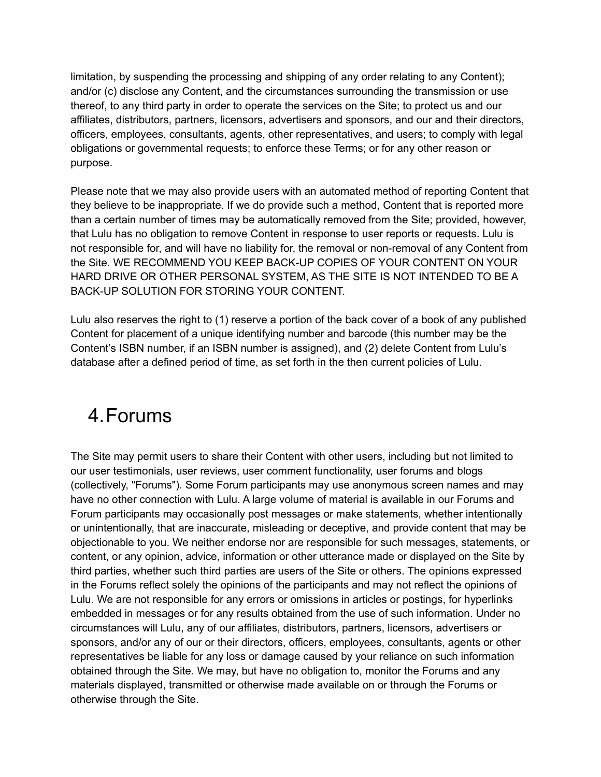limitation, by suspending the processing and shipping of any order relating to any Content); and/or (c) disclose any Content, and the circumstances surrounding the transmission or use thereof, to any third party in order to operate the services on the Site; to protect us and our affiliates, distributors, partners, licensors, advertisers and sponsors, and our and their directors, officers, employees, consultants, agents, other representatives, and users; to comply with legal obligations or governmental requests; to enforce these Terms; or for any other reason or purpose.

Please note that we may also provide users with an automated method of reporting Content that they believe to be inappropriate. If we do provide such a method, Content that is reported more than a certain number of times may be automatically removed from the Site; provided, however, that Lulu has no obligation to remove Content in response to user reports or requests. Lulu is not responsible for, and will have no liability for, the removal or non-removal of any Content from the Site. WE RECOMMEND YOU KEEP BACK-UP COPIES OF YOUR CONTENT ON YOUR HARD DRIVE OR OTHER PERSONAL SYSTEM, AS THE SITE IS NOT INTENDED TO BE A BACK-UP SOLUTION FOR STORING YOUR CONTENT.

Lulu also reserves the right to (1) reserve a portion of the back cover of a book of any published Content for placement of a unique identifying number and barcode (this number may be the Content's ISBN number, if an ISBN number is assigned), and (2) delete Content from Lulu's database after a defined period of time, as set forth in the then current policies of Lulu.

#### <span id="page-6-0"></span>4.Forums

The Site may permit users to share their Content with other users, including but not limited to our user testimonials, user reviews, user comment functionality, user forums and blogs (collectively, "Forums"). Some Forum participants may use anonymous screen names and may have no other connection with Lulu. A large volume of material is available in our Forums and Forum participants may occasionally post messages or make statements, whether intentionally or unintentionally, that are inaccurate, misleading or deceptive, and provide content that may be objectionable to you. We neither endorse nor are responsible for such messages, statements, or content, or any opinion, advice, information or other utterance made or displayed on the Site by third parties, whether such third parties are users of the Site or others. The opinions expressed in the Forums reflect solely the opinions of the participants and may not reflect the opinions of Lulu. We are not responsible for any errors or omissions in articles or postings, for hyperlinks embedded in messages or for any results obtained from the use of such information. Under no circumstances will Lulu, any of our affiliates, distributors, partners, licensors, advertisers or sponsors, and/or any of our or their directors, officers, employees, consultants, agents or other representatives be liable for any loss or damage caused by your reliance on such information obtained through the Site. We may, but have no obligation to, monitor the Forums and any materials displayed, transmitted or otherwise made available on or through the Forums or otherwise through the Site.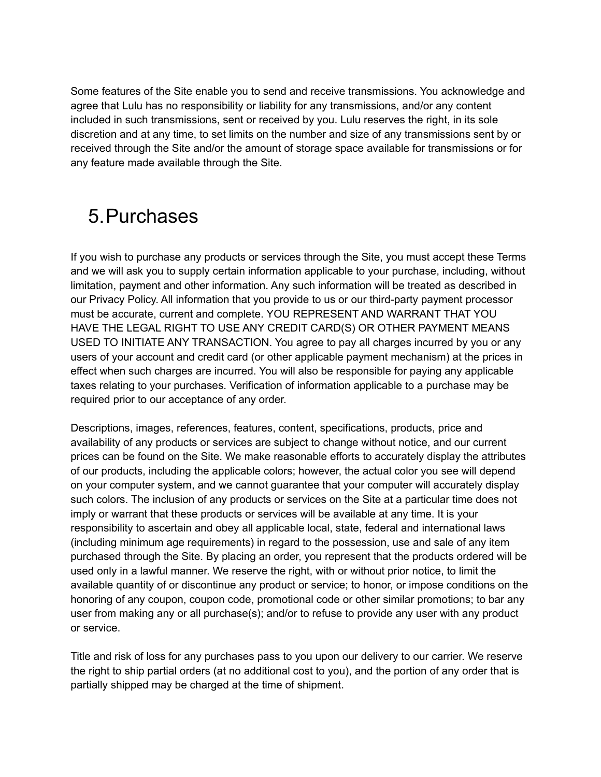Some features of the Site enable you to send and receive transmissions. You acknowledge and agree that Lulu has no responsibility or liability for any transmissions, and/or any content included in such transmissions, sent or received by you. Lulu reserves the right, in its sole discretion and at any time, to set limits on the number and size of any transmissions sent by or received through the Site and/or the amount of storage space available for transmissions or for any feature made available through the Site.

## <span id="page-7-0"></span>5.Purchases

If you wish to purchase any products or services through the Site, you must accept these Terms and we will ask you to supply certain information applicable to your purchase, including, without limitation, payment and other information. Any such information will be treated as described in our Privacy Policy. All information that you provide to us or our third-party payment processor must be accurate, current and complete. YOU REPRESENT AND WARRANT THAT YOU HAVE THE LEGAL RIGHT TO USE ANY CREDIT CARD(S) OR OTHER PAYMENT MEANS USED TO INITIATE ANY TRANSACTION. You agree to pay all charges incurred by you or any users of your account and credit card (or other applicable payment mechanism) at the prices in effect when such charges are incurred. You will also be responsible for paying any applicable taxes relating to your purchases. Verification of information applicable to a purchase may be required prior to our acceptance of any order.

Descriptions, images, references, features, content, specifications, products, price and availability of any products or services are subject to change without notice, and our current prices can be found on the Site. We make reasonable efforts to accurately display the attributes of our products, including the applicable colors; however, the actual color you see will depend on your computer system, and we cannot guarantee that your computer will accurately display such colors. The inclusion of any products or services on the Site at a particular time does not imply or warrant that these products or services will be available at any time. It is your responsibility to ascertain and obey all applicable local, state, federal and international laws (including minimum age requirements) in regard to the possession, use and sale of any item purchased through the Site. By placing an order, you represent that the products ordered will be used only in a lawful manner. We reserve the right, with or without prior notice, to limit the available quantity of or discontinue any product or service; to honor, or impose conditions on the honoring of any coupon, coupon code, promotional code or other similar promotions; to bar any user from making any or all purchase(s); and/or to refuse to provide any user with any product or service.

Title and risk of loss for any purchases pass to you upon our delivery to our carrier. We reserve the right to ship partial orders (at no additional cost to you), and the portion of any order that is partially shipped may be charged at the time of shipment.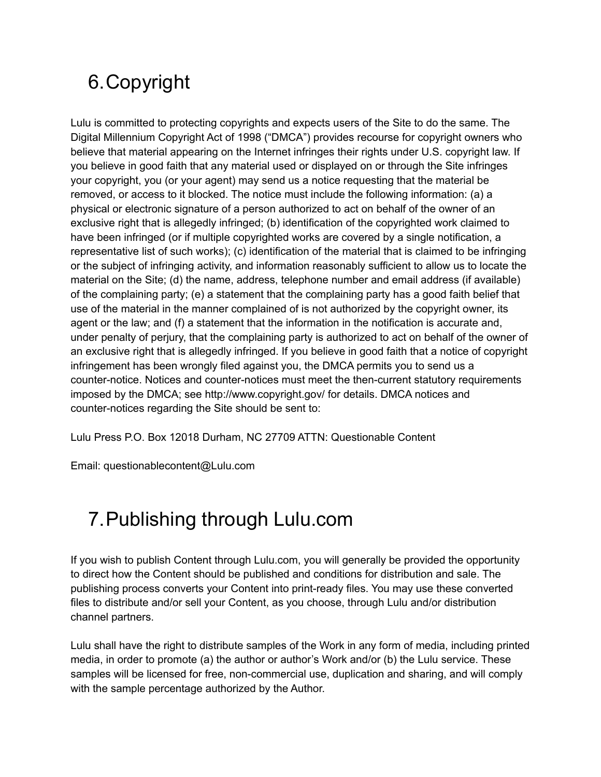## <span id="page-8-0"></span>6.Copyright

Lulu is committed to protecting copyrights and expects users of the Site to do the same. The Digital Millennium Copyright Act of 1998 ("DMCA") provides recourse for copyright owners who believe that material appearing on the Internet infringes their rights under U.S. copyright law. If you believe in good faith that any material used or displayed on or through the Site infringes your copyright, you (or your agent) may send us a notice requesting that the material be removed, or access to it blocked. The notice must include the following information: (a) a physical or electronic signature of a person authorized to act on behalf of the owner of an exclusive right that is allegedly infringed; (b) identification of the copyrighted work claimed to have been infringed (or if multiple copyrighted works are covered by a single notification, a representative list of such works); (c) identification of the material that is claimed to be infringing or the subject of infringing activity, and information reasonably sufficient to allow us to locate the material on the Site; (d) the name, address, telephone number and email address (if available) of the complaining party; (e) a statement that the complaining party has a good faith belief that use of the material in the manner complained of is not authorized by the copyright owner, its agent or the law; and (f) a statement that the information in the notification is accurate and, under penalty of perjury, that the complaining party is authorized to act on behalf of the owner of an exclusive right that is allegedly infringed. If you believe in good faith that a notice of copyright infringement has been wrongly filed against you, the DMCA permits you to send us a counter-notice. Notices and counter-notices must meet the then-current statutory requirements imposed by the DMCA; see http://www.copyright.gov/ for details. DMCA notices and counter-notices regarding the Site should be sent to:

Lulu Press P.O. Box 12018 Durham, NC 27709 ATTN: Questionable Content

Email: questionablecontent@Lulu.com

## <span id="page-8-1"></span>7.Publishing through Lulu.com

If you wish to publish Content through Lulu.com, you will generally be provided the opportunity to direct how the Content should be published and conditions for distribution and sale. The publishing process converts your Content into print-ready files. You may use these converted files to distribute and/or sell your Content, as you choose, through Lulu and/or distribution channel partners.

Lulu shall have the right to distribute samples of the Work in any form of media, including printed media, in order to promote (a) the author or author's Work and/or (b) the Lulu service. These samples will be licensed for free, non-commercial use, duplication and sharing, and will comply with the sample percentage authorized by the Author.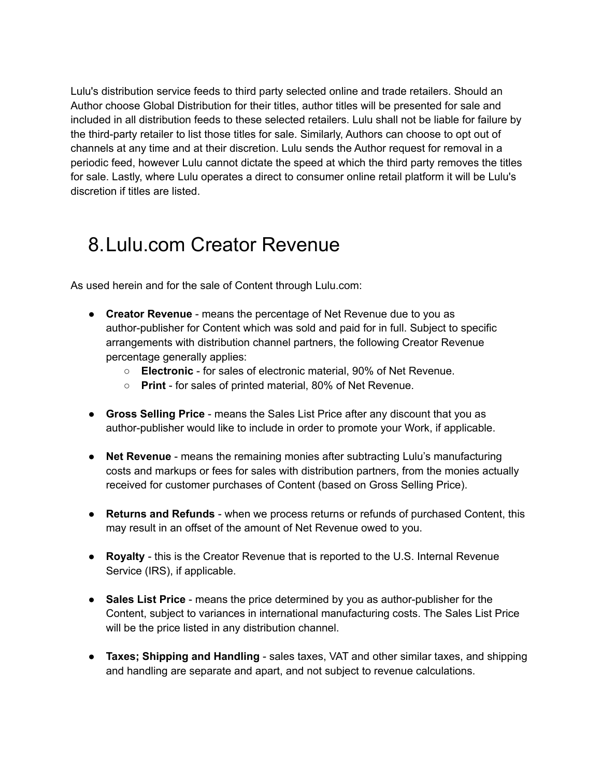Lulu's distribution service feeds to third party selected online and trade retailers. Should an Author choose Global Distribution for their titles, author titles will be presented for sale and included in all distribution feeds to these selected retailers. Lulu shall not be liable for failure by the third-party retailer to list those titles for sale. Similarly, Authors can choose to opt out of channels at any time and at their discretion. Lulu sends the Author request for removal in a periodic feed, however Lulu cannot dictate the speed at which the third party removes the titles for sale. Lastly, where Lulu operates a direct to consumer online retail platform it will be Lulu's discretion if titles are listed.

### <span id="page-9-0"></span>8.Lulu.com Creator Revenue

As used herein and for the sale of Content through Lulu.com:

- **Creator Revenue** means the percentage of Net Revenue due to you as author-publisher for Content which was sold and paid for in full. Subject to specific arrangements with distribution channel partners, the following Creator Revenue percentage generally applies:
	- **Electronic** for sales of electronic material, 90% of Net Revenue.
	- **Print** for sales of printed material, 80% of Net Revenue.
- **Gross Selling Price** means the Sales List Price after any discount that you as author-publisher would like to include in order to promote your Work, if applicable.
- **Net Revenue** means the remaining monies after subtracting Lulu's manufacturing costs and markups or fees for sales with distribution partners, from the monies actually received for customer purchases of Content (based on Gross Selling Price).
- **Returns and Refunds** when we process returns or refunds of purchased Content, this may result in an offset of the amount of Net Revenue owed to you.
- **Royalty** this is the Creator Revenue that is reported to the U.S. Internal Revenue Service (IRS), if applicable.
- **Sales List Price** means the price determined by you as author-publisher for the Content, subject to variances in international manufacturing costs. The Sales List Price will be the price listed in any distribution channel.
- **Taxes; Shipping and Handling** sales taxes, VAT and other similar taxes, and shipping and handling are separate and apart, and not subject to revenue calculations.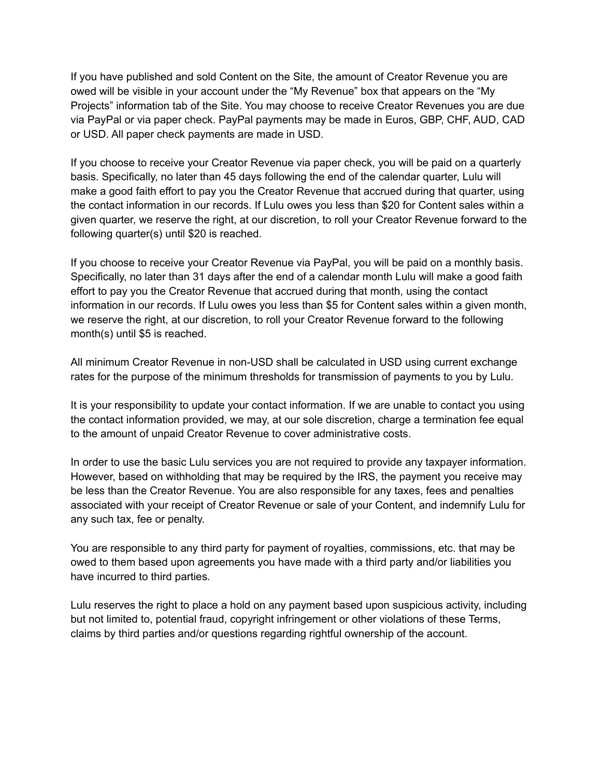If you have published and sold Content on the Site, the amount of Creator Revenue you are owed will be visible in your account under the "My Revenue" box that appears on the "My Projects" information tab of the Site. You may choose to receive Creator Revenues you are due via PayPal or via paper check. PayPal payments may be made in Euros, GBP, CHF, AUD, CAD or USD. All paper check payments are made in USD.

If you choose to receive your Creator Revenue via paper check, you will be paid on a quarterly basis. Specifically, no later than 45 days following the end of the calendar quarter, Lulu will make a good faith effort to pay you the Creator Revenue that accrued during that quarter, using the contact information in our records. If Lulu owes you less than \$20 for Content sales within a given quarter, we reserve the right, at our discretion, to roll your Creator Revenue forward to the following quarter(s) until \$20 is reached.

If you choose to receive your Creator Revenue via PayPal, you will be paid on a monthly basis. Specifically, no later than 31 days after the end of a calendar month Lulu will make a good faith effort to pay you the Creator Revenue that accrued during that month, using the contact information in our records. If Lulu owes you less than \$5 for Content sales within a given month, we reserve the right, at our discretion, to roll your Creator Revenue forward to the following month(s) until \$5 is reached.

All minimum Creator Revenue in non-USD shall be calculated in USD using current exchange rates for the purpose of the minimum thresholds for transmission of payments to you by Lulu.

It is your responsibility to update your contact information. If we are unable to contact you using the contact information provided, we may, at our sole discretion, charge a termination fee equal to the amount of unpaid Creator Revenue to cover administrative costs.

In order to use the basic Lulu services you are not required to provide any taxpayer information. However, based on withholding that may be required by the IRS, the payment you receive may be less than the Creator Revenue. You are also responsible for any taxes, fees and penalties associated with your receipt of Creator Revenue or sale of your Content, and indemnify Lulu for any such tax, fee or penalty.

You are responsible to any third party for payment of royalties, commissions, etc. that may be owed to them based upon agreements you have made with a third party and/or liabilities you have incurred to third parties.

Lulu reserves the right to place a hold on any payment based upon suspicious activity, including but not limited to, potential fraud, copyright infringement or other violations of these Terms, claims by third parties and/or questions regarding rightful ownership of the account.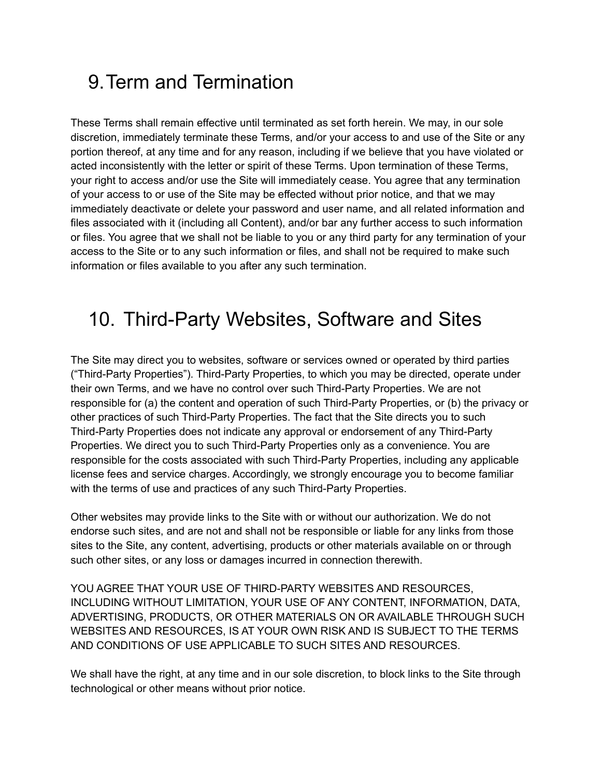## <span id="page-11-0"></span>9.Term and Termination

These Terms shall remain effective until terminated as set forth herein. We may, in our sole discretion, immediately terminate these Terms, and/or your access to and use of the Site or any portion thereof, at any time and for any reason, including if we believe that you have violated or acted inconsistently with the letter or spirit of these Terms. Upon termination of these Terms, your right to access and/or use the Site will immediately cease. You agree that any termination of your access to or use of the Site may be effected without prior notice, and that we may immediately deactivate or delete your password and user name, and all related information and files associated with it (including all Content), and/or bar any further access to such information or files. You agree that we shall not be liable to you or any third party for any termination of your access to the Site or to any such information or files, and shall not be required to make such information or files available to you after any such termination.

## <span id="page-11-1"></span>10. Third-Party Websites, Software and Sites

The Site may direct you to websites, software or services owned or operated by third parties ("Third-Party Properties"). Third-Party Properties, to which you may be directed, operate under their own Terms, and we have no control over such Third-Party Properties. We are not responsible for (a) the content and operation of such Third-Party Properties, or (b) the privacy or other practices of such Third-Party Properties. The fact that the Site directs you to such Third-Party Properties does not indicate any approval or endorsement of any Third-Party Properties. We direct you to such Third-Party Properties only as a convenience. You are responsible for the costs associated with such Third-Party Properties, including any applicable license fees and service charges. Accordingly, we strongly encourage you to become familiar with the terms of use and practices of any such Third-Party Properties.

Other websites may provide links to the Site with or without our authorization. We do not endorse such sites, and are not and shall not be responsible or liable for any links from those sites to the Site, any content, advertising, products or other materials available on or through such other sites, or any loss or damages incurred in connection therewith.

YOU AGREE THAT YOUR USE OF THIRD-PARTY WEBSITES AND RESOURCES, INCLUDING WITHOUT LIMITATION, YOUR USE OF ANY CONTENT, INFORMATION, DATA, ADVERTISING, PRODUCTS, OR OTHER MATERIALS ON OR AVAILABLE THROUGH SUCH WEBSITES AND RESOURCES, IS AT YOUR OWN RISK AND IS SUBJECT TO THE TERMS AND CONDITIONS OF USE APPLICABLE TO SUCH SITES AND RESOURCES.

We shall have the right, at any time and in our sole discretion, to block links to the Site through technological or other means without prior notice.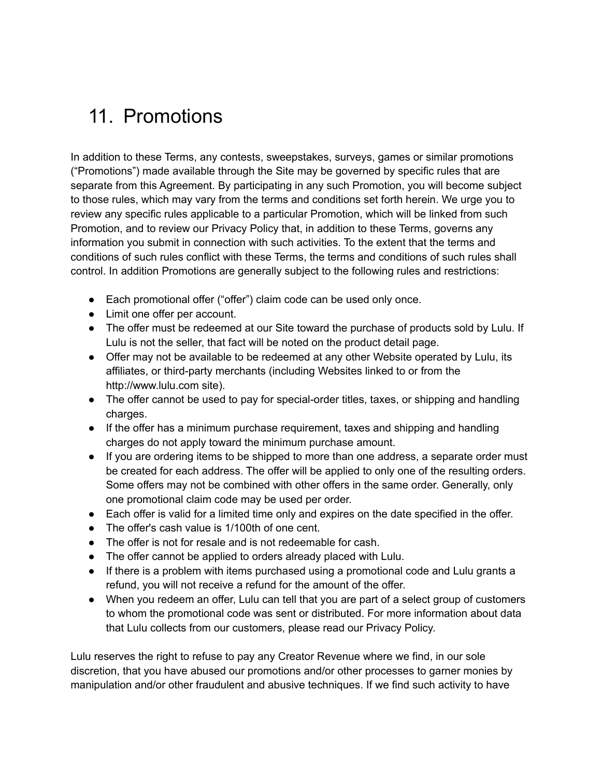## <span id="page-12-0"></span>11. Promotions

In addition to these Terms, any contests, sweepstakes, surveys, games or similar promotions ("Promotions") made available through the Site may be governed by specific rules that are separate from this Agreement. By participating in any such Promotion, you will become subject to those rules, which may vary from the terms and conditions set forth herein. We urge you to review any specific rules applicable to a particular Promotion, which will be linked from such Promotion, and to review our Privacy Policy that, in addition to these Terms, governs any information you submit in connection with such activities. To the extent that the terms and conditions of such rules conflict with these Terms, the terms and conditions of such rules shall control. In addition Promotions are generally subject to the following rules and restrictions:

- Each promotional offer ("offer") claim code can be used only once.
- Limit one offer per account.
- The offer must be redeemed at our Site toward the purchase of products sold by Lulu. If Lulu is not the seller, that fact will be noted on the product detail page.
- Offer may not be available to be redeemed at any other Website operated by Lulu, its affiliates, or third-party merchants (including Websites linked to or from the http://www.lulu.com site).
- The offer cannot be used to pay for special-order titles, taxes, or shipping and handling charges.
- If the offer has a minimum purchase requirement, taxes and shipping and handling charges do not apply toward the minimum purchase amount.
- If you are ordering items to be shipped to more than one address, a separate order must be created for each address. The offer will be applied to only one of the resulting orders. Some offers may not be combined with other offers in the same order. Generally, only one promotional claim code may be used per order.
- Each offer is valid for a limited time only and expires on the date specified in the offer.
- The offer's cash value is 1/100th of one cent.
- The offer is not for resale and is not redeemable for cash.
- The offer cannot be applied to orders already placed with Lulu.
- If there is a problem with items purchased using a promotional code and Lulu grants a refund, you will not receive a refund for the amount of the offer.
- When you redeem an offer, Lulu can tell that you are part of a select group of customers to whom the promotional code was sent or distributed. For more information about data that Lulu collects from our customers, please read our Privacy Policy.

Lulu reserves the right to refuse to pay any Creator Revenue where we find, in our sole discretion, that you have abused our promotions and/or other processes to garner monies by manipulation and/or other fraudulent and abusive techniques. If we find such activity to have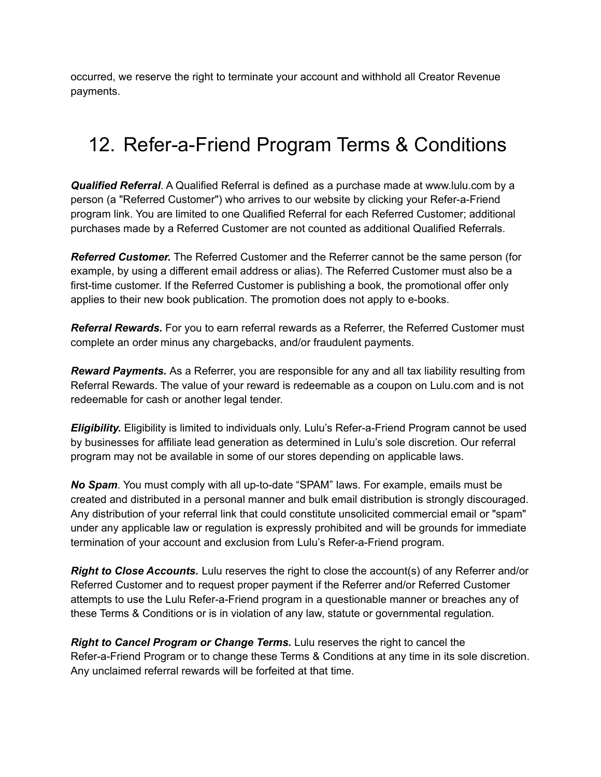occurred, we reserve the right to terminate your account and withhold all Creator Revenue payments.

## <span id="page-13-0"></span>12. Refer-a-Friend Program Terms & Conditions

*Qualified Referral*. A Qualified Referral is defined as a purchase made at www.lulu.com by a person (a "Referred Customer") who arrives to our website by clicking your Refer-a-Friend program link. You are limited to one Qualified Referral for each Referred Customer; additional purchases made by a Referred Customer are not counted as additional Qualified Referrals.

*Referred Customer.* The Referred Customer and the Referrer cannot be the same person (for example, by using a different email address or alias). The Referred Customer must also be a first-time customer. If the Referred Customer is publishing a book, the promotional offer only applies to their new book publication. The promotion does not apply to e-books.

*Referral Rewards.* For you to earn referral rewards as a Referrer, the Referred Customer must complete an order minus any chargebacks, and/or fraudulent payments.

*Reward Payments.* As a Referrer, you are responsible for any and all tax liability resulting from Referral Rewards. The value of your reward is redeemable as a coupon on Lulu.com and is not redeemable for cash or another legal tender.

*Eligibility.* Eligibility is limited to individuals only. Lulu's Refer-a-Friend Program cannot be used by businesses for affiliate lead generation as determined in Lulu's sole discretion. Our referral program may not be available in some of our stores depending on applicable laws.

*No Spam*. You must comply with all up-to-date "SPAM" laws. For example, emails must be created and distributed in a personal manner and bulk email distribution is strongly discouraged. Any distribution of your referral link that could constitute unsolicited commercial email or "spam" under any applicable law or regulation is expressly prohibited and will be grounds for immediate termination of your account and exclusion from Lulu's Refer-a-Friend program.

*Right to Close Accounts.* Lulu reserves the right to close the account(s) of any Referrer and/or Referred Customer and to request proper payment if the Referrer and/or Referred Customer attempts to use the Lulu Refer-a-Friend program in a questionable manner or breaches any of these Terms & Conditions or is in violation of any law, statute or governmental regulation.

*Right to Cancel Program or Change Terms.* Lulu reserves the right to cancel the Refer-a-Friend Program or to change these Terms & Conditions at any time in its sole discretion. Any unclaimed referral rewards will be forfeited at that time.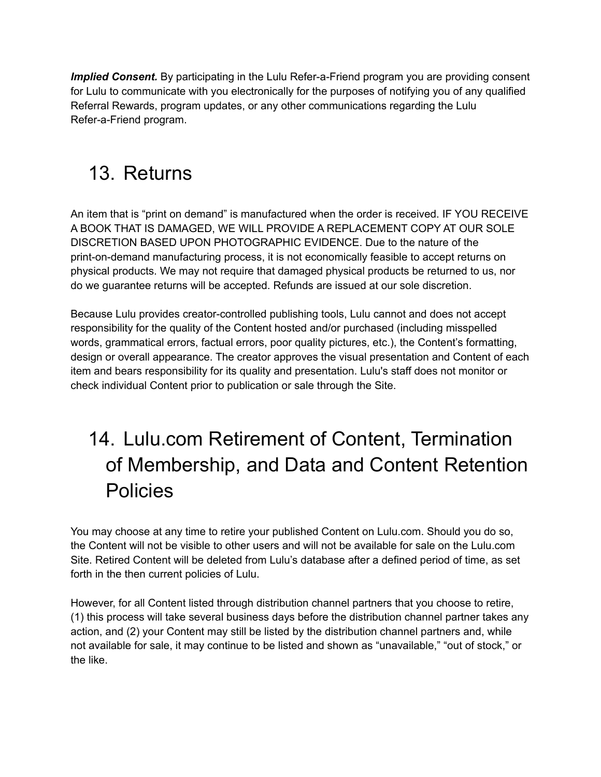*Implied Consent.* By participating in the Lulu Refer-a-Friend program you are providing consent for Lulu to communicate with you electronically for the purposes of notifying you of any qualified Referral Rewards, program updates, or any other communications regarding the Lulu Refer-a-Friend program.

## <span id="page-14-0"></span>13. Returns

An item that is "print on demand" is manufactured when the order is received. IF YOU RECEIVE A BOOK THAT IS DAMAGED, WE WILL PROVIDE A REPLACEMENT COPY AT OUR SOLE DISCRETION BASED UPON PHOTOGRAPHIC EVIDENCE. Due to the nature of the print-on-demand manufacturing process, it is not economically feasible to accept returns on physical products. We may not require that damaged physical products be returned to us, nor do we guarantee returns will be accepted. Refunds are issued at our sole discretion.

Because Lulu provides creator-controlled publishing tools, Lulu cannot and does not accept responsibility for the quality of the Content hosted and/or purchased (including misspelled words, grammatical errors, factual errors, poor quality pictures, etc.), the Content's formatting, design or overall appearance. The creator approves the visual presentation and Content of each item and bears responsibility for its quality and presentation. Lulu's staff does not monitor or check individual Content prior to publication or sale through the Site.

## 14. Lulu.com Retirement of Content, Termination of Membership, and Data and Content Retention Policies

<span id="page-14-1"></span>You may choose at any time to retire your published Content on Lulu.com. Should you do so, the Content will not be visible to other users and will not be available for sale on the Lulu.com Site. Retired Content will be deleted from Lulu's database after a defined period of time, as set forth in the then current policies of Lulu.

However, for all Content listed through distribution channel partners that you choose to retire, (1) this process will take several business days before the distribution channel partner takes any action, and (2) your Content may still be listed by the distribution channel partners and, while not available for sale, it may continue to be listed and shown as "unavailable," "out of stock," or the like.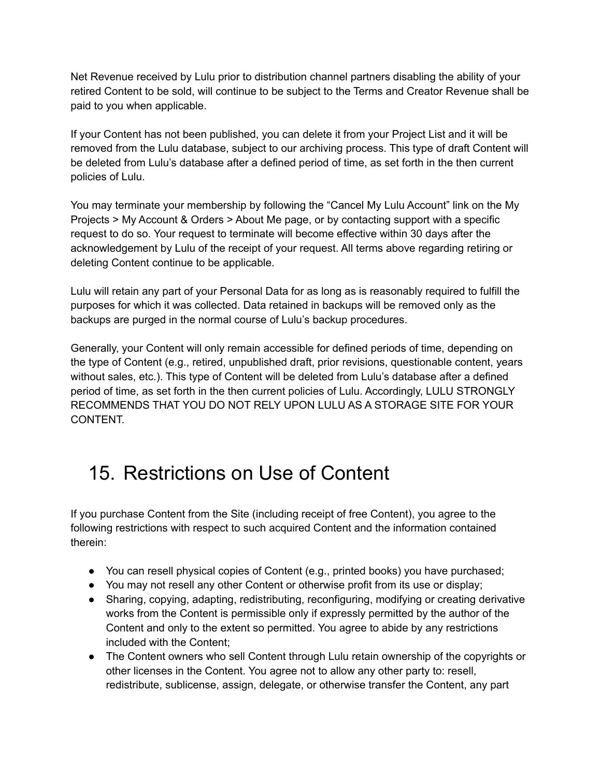Net Revenue received by Lulu prior to distribution channel partners disabling the ability of your retired Content to be sold, will continue to be subject to the Terms and Creator Revenue shall be paid to you when applicable.

If your Content has not been published, you can delete it from your Project List and it will be removed from the Lulu database, subject to our archiving process. This type of draft Content will be deleted from Lulu's database after a defined period of time, as set forth in the then current policies of Lulu.

You may terminate your membership by following the "Cancel My Lulu Account" link on the My Projects > My Account & Orders > About Me page, or by contacting support with a specific request to do so. Your request to terminate will become effective within 30 days after the acknowledgement by Lulu of the receipt of your request. All terms above regarding retiring or deleting Content continue to be applicable.

Lulu will retain any part of your Personal Data for as long as is reasonably required to fulfill the purposes for which it was collected. Data retained in backups will be removed only as the backups are purged in the normal course of Lulu's backup procedures.

Generally, your Content will only remain accessible for defined periods of time, depending on the type of Content (e.g., retired, unpublished draft, prior revisions, questionable content, years without sales, etc.). This type of Content will be deleted from Lulu's database after a defined period of time, as set forth in the then current policies of Lulu. Accordingly, LULU STRONGLY RECOMMENDS THAT YOU DO NOT RELY UPON LULU AS A STORAGE SITE FOR YOUR CONTENT.

## <span id="page-15-0"></span>15. Restrictions on Use of Content

If you purchase Content from the Site (including receipt of free Content), you agree to the following restrictions with respect to such acquired Content and the information contained therein:

- You can resell physical copies of Content (e.g., printed books) you have purchased;
- You may not resell any other Content or otherwise profit from its use or display;
- Sharing, copying, adapting, redistributing, reconfiguring, modifying or creating derivative works from the Content is permissible only if expressly permitted by the author of the Content and only to the extent so permitted. You agree to abide by any restrictions included with the Content;
- The Content owners who sell Content through Lulu retain ownership of the copyrights or other licenses in the Content. You agree not to allow any other party to: resell, redistribute, sublicense, assign, delegate, or otherwise transfer the Content, any part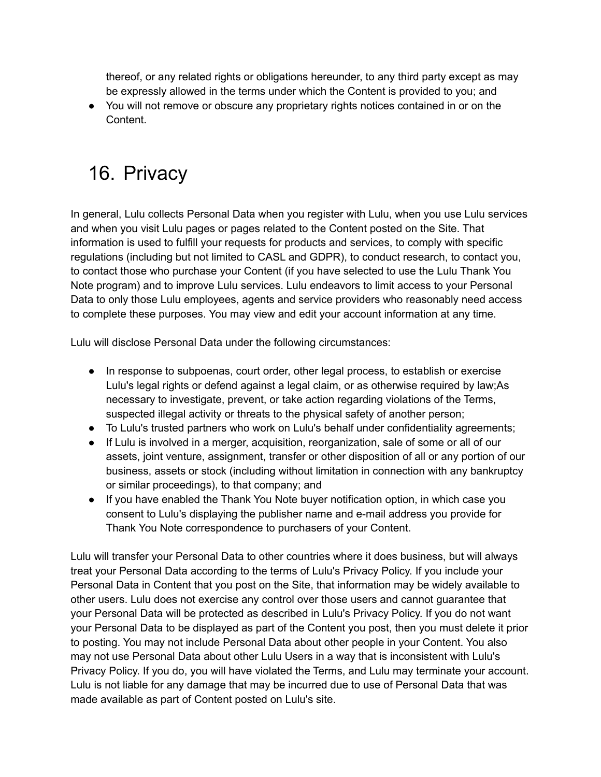thereof, or any related rights or obligations hereunder, to any third party except as may be expressly allowed in the terms under which the Content is provided to you; and

• You will not remove or obscure any proprietary rights notices contained in or on the Content.

## <span id="page-16-0"></span>16. Privacy

In general, Lulu collects Personal Data when you register with Lulu, when you use Lulu services and when you visit Lulu pages or pages related to the Content posted on the Site. That information is used to fulfill your requests for products and services, to comply with specific regulations (including but not limited to CASL and GDPR), to conduct research, to contact you, to contact those who purchase your Content (if you have selected to use the Lulu Thank You Note program) and to improve Lulu services. Lulu endeavors to limit access to your Personal Data to only those Lulu employees, agents and service providers who reasonably need access to complete these purposes. You may view and edit your account information at any time.

Lulu will disclose Personal Data under the following circumstances:

- In response to subpoenas, court order, other legal process, to establish or exercise Lulu's legal rights or defend against a legal claim, or as otherwise required by law;As necessary to investigate, prevent, or take action regarding violations of the Terms, suspected illegal activity or threats to the physical safety of another person;
- To Lulu's trusted partners who work on Lulu's behalf under confidentiality agreements;
- If Lulu is involved in a merger, acquisition, reorganization, sale of some or all of our assets, joint venture, assignment, transfer or other disposition of all or any portion of our business, assets or stock (including without limitation in connection with any bankruptcy or similar proceedings), to that company; and
- If you have enabled the Thank You Note buyer notification option, in which case you consent to Lulu's displaying the publisher name and e-mail address you provide for Thank You Note correspondence to purchasers of your Content.

Lulu will transfer your Personal Data to other countries where it does business, but will always treat your Personal Data according to the terms of Lulu's Privacy Policy. If you include your Personal Data in Content that you post on the Site, that information may be widely available to other users. Lulu does not exercise any control over those users and cannot guarantee that your Personal Data will be protected as described in Lulu's Privacy Policy. If you do not want your Personal Data to be displayed as part of the Content you post, then you must delete it prior to posting. You may not include Personal Data about other people in your Content. You also may not use Personal Data about other Lulu Users in a way that is inconsistent with Lulu's Privacy Policy. If you do, you will have violated the Terms, and Lulu may terminate your account. Lulu is not liable for any damage that may be incurred due to use of Personal Data that was made available as part of Content posted on Lulu's site.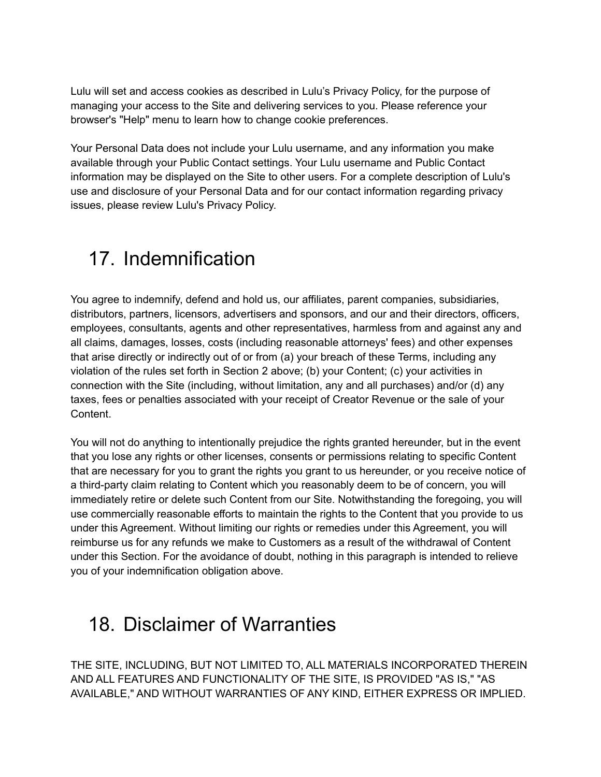Lulu will set and access cookies as described in Lulu's Privacy Policy, for the purpose of managing your access to the Site and delivering services to you. Please reference your browser's "Help" menu to learn how to change cookie preferences.

Your Personal Data does not include your Lulu username, and any information you make available through your Public Contact settings. Your Lulu username and Public Contact information may be displayed on the Site to other users. For a complete description of Lulu's use and disclosure of your Personal Data and for our contact information regarding privacy issues, please review Lulu's Privacy Policy.

### <span id="page-17-0"></span>17. Indemnification

You agree to indemnify, defend and hold us, our affiliates, parent companies, subsidiaries, distributors, partners, licensors, advertisers and sponsors, and our and their directors, officers, employees, consultants, agents and other representatives, harmless from and against any and all claims, damages, losses, costs (including reasonable attorneys' fees) and other expenses that arise directly or indirectly out of or from (a) your breach of these Terms, including any violation of the rules set forth in Section 2 above; (b) your Content; (c) your activities in connection with the Site (including, without limitation, any and all purchases) and/or (d) any taxes, fees or penalties associated with your receipt of Creator Revenue or the sale of your Content.

You will not do anything to intentionally prejudice the rights granted hereunder, but in the event that you lose any rights or other licenses, consents or permissions relating to specific Content that are necessary for you to grant the rights you grant to us hereunder, or you receive notice of a third-party claim relating to Content which you reasonably deem to be of concern, you will immediately retire or delete such Content from our Site. Notwithstanding the foregoing, you will use commercially reasonable efforts to maintain the rights to the Content that you provide to us under this Agreement. Without limiting our rights or remedies under this Agreement, you will reimburse us for any refunds we make to Customers as a result of the withdrawal of Content under this Section. For the avoidance of doubt, nothing in this paragraph is intended to relieve you of your indemnification obligation above.

#### <span id="page-17-1"></span>18. Disclaimer of Warranties

THE SITE, INCLUDING, BUT NOT LIMITED TO, ALL MATERIALS INCORPORATED THEREIN AND ALL FEATURES AND FUNCTIONALITY OF THE SITE, IS PROVIDED "AS IS," "AS AVAILABLE," AND WITHOUT WARRANTIES OF ANY KIND, EITHER EXPRESS OR IMPLIED.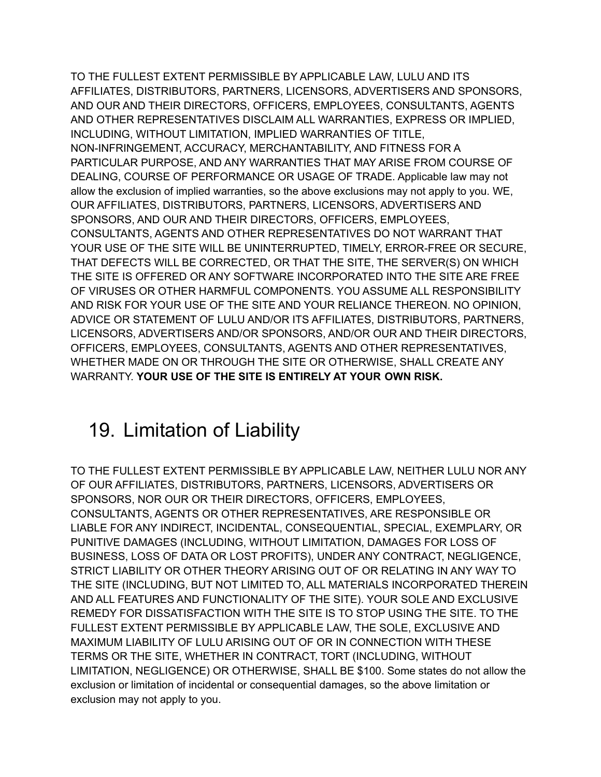TO THE FULLEST EXTENT PERMISSIBLE BY APPLICABLE LAW, LULU AND ITS AFFILIATES, DISTRIBUTORS, PARTNERS, LICENSORS, ADVERTISERS AND SPONSORS, AND OUR AND THEIR DIRECTORS, OFFICERS, EMPLOYEES, CONSULTANTS, AGENTS AND OTHER REPRESENTATIVES DISCLAIM ALL WARRANTIES, EXPRESS OR IMPLIED, INCLUDING, WITHOUT LIMITATION, IMPLIED WARRANTIES OF TITLE, NON-INFRINGEMENT, ACCURACY, MERCHANTABILITY, AND FITNESS FOR A PARTICULAR PURPOSE, AND ANY WARRANTIES THAT MAY ARISE FROM COURSE OF DEALING, COURSE OF PERFORMANCE OR USAGE OF TRADE. Applicable law may not allow the exclusion of implied warranties, so the above exclusions may not apply to you. WE, OUR AFFILIATES, DISTRIBUTORS, PARTNERS, LICENSORS, ADVERTISERS AND SPONSORS, AND OUR AND THEIR DIRECTORS, OFFICERS, EMPLOYEES, CONSULTANTS, AGENTS AND OTHER REPRESENTATIVES DO NOT WARRANT THAT YOUR USE OF THE SITE WILL BE UNINTERRUPTED, TIMELY, ERROR-FREE OR SECURE, THAT DEFECTS WILL BE CORRECTED, OR THAT THE SITE, THE SERVER(S) ON WHICH THE SITE IS OFFERED OR ANY SOFTWARE INCORPORATED INTO THE SITE ARE FREE OF VIRUSES OR OTHER HARMFUL COMPONENTS. YOU ASSUME ALL RESPONSIBILITY AND RISK FOR YOUR USE OF THE SITE AND YOUR RELIANCE THEREON. NO OPINION, ADVICE OR STATEMENT OF LULU AND/OR ITS AFFILIATES, DISTRIBUTORS, PARTNERS, LICENSORS, ADVERTISERS AND/OR SPONSORS, AND/OR OUR AND THEIR DIRECTORS, OFFICERS, EMPLOYEES, CONSULTANTS, AGENTS AND OTHER REPRESENTATIVES, WHETHER MADE ON OR THROUGH THE SITE OR OTHERWISE, SHALL CREATE ANY WARRANTY. **YOUR USE OF THE SITE IS ENTIRELY AT YOUR OWN RISK.**

## <span id="page-18-0"></span>19. Limitation of Liability

TO THE FULLEST EXTENT PERMISSIBLE BY APPLICABLE LAW, NEITHER LULU NOR ANY OF OUR AFFILIATES, DISTRIBUTORS, PARTNERS, LICENSORS, ADVERTISERS OR SPONSORS, NOR OUR OR THEIR DIRECTORS, OFFICERS, EMPLOYEES, CONSULTANTS, AGENTS OR OTHER REPRESENTATIVES, ARE RESPONSIBLE OR LIABLE FOR ANY INDIRECT, INCIDENTAL, CONSEQUENTIAL, SPECIAL, EXEMPLARY, OR PUNITIVE DAMAGES (INCLUDING, WITHOUT LIMITATION, DAMAGES FOR LOSS OF BUSINESS, LOSS OF DATA OR LOST PROFITS), UNDER ANY CONTRACT, NEGLIGENCE, STRICT LIABILITY OR OTHER THEORY ARISING OUT OF OR RELATING IN ANY WAY TO THE SITE (INCLUDING, BUT NOT LIMITED TO, ALL MATERIALS INCORPORATED THEREIN AND ALL FEATURES AND FUNCTIONALITY OF THE SITE). YOUR SOLE AND EXCLUSIVE REMEDY FOR DISSATISFACTION WITH THE SITE IS TO STOP USING THE SITE. TO THE FULLEST EXTENT PERMISSIBLE BY APPLICABLE LAW, THE SOLE, EXCLUSIVE AND MAXIMUM LIABILITY OF LULU ARISING OUT OF OR IN CONNECTION WITH THESE TERMS OR THE SITE, WHETHER IN CONTRACT, TORT (INCLUDING, WITHOUT LIMITATION, NEGLIGENCE) OR OTHERWISE, SHALL BE \$100. Some states do not allow the exclusion or limitation of incidental or consequential damages, so the above limitation or exclusion may not apply to you.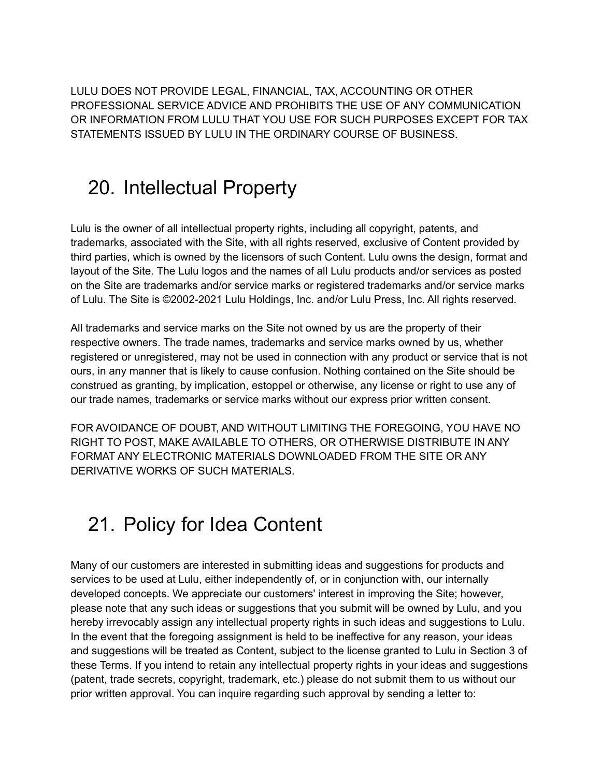LULU DOES NOT PROVIDE LEGAL, FINANCIAL, TAX, ACCOUNTING OR OTHER PROFESSIONAL SERVICE ADVICE AND PROHIBITS THE USE OF ANY COMMUNICATION OR INFORMATION FROM LULU THAT YOU USE FOR SUCH PURPOSES EXCEPT FOR TAX STATEMENTS ISSUED BY LULU IN THE ORDINARY COURSE OF BUSINESS.

#### <span id="page-19-0"></span>20. Intellectual Property

Lulu is the owner of all intellectual property rights, including all copyright, patents, and trademarks, associated with the Site, with all rights reserved, exclusive of Content provided by third parties, which is owned by the licensors of such Content. Lulu owns the design, format and layout of the Site. The Lulu logos and the names of all Lulu products and/or services as posted on the Site are trademarks and/or service marks or registered trademarks and/or service marks of Lulu. The Site is ©2002-2021 Lulu Holdings, Inc. and/or Lulu Press, Inc. All rights reserved.

All trademarks and service marks on the Site not owned by us are the property of their respective owners. The trade names, trademarks and service marks owned by us, whether registered or unregistered, may not be used in connection with any product or service that is not ours, in any manner that is likely to cause confusion. Nothing contained on the Site should be construed as granting, by implication, estoppel or otherwise, any license or right to use any of our trade names, trademarks or service marks without our express prior written consent.

FOR AVOIDANCE OF DOUBT, AND WITHOUT LIMITING THE FOREGOING, YOU HAVE NO RIGHT TO POST, MAKE AVAILABLE TO OTHERS, OR OTHERWISE DISTRIBUTE IN ANY FORMAT ANY ELECTRONIC MATERIALS DOWNLOADED FROM THE SITE OR ANY DERIVATIVE WORKS OF SUCH MATERIALS.

## <span id="page-19-1"></span>21. Policy for Idea Content

Many of our customers are interested in submitting ideas and suggestions for products and services to be used at Lulu, either independently of, or in conjunction with, our internally developed concepts. We appreciate our customers' interest in improving the Site; however, please note that any such ideas or suggestions that you submit will be owned by Lulu, and you hereby irrevocably assign any intellectual property rights in such ideas and suggestions to Lulu. In the event that the foregoing assignment is held to be ineffective for any reason, your ideas and suggestions will be treated as Content, subject to the license granted to Lulu in Section 3 of these Terms. If you intend to retain any intellectual property rights in your ideas and suggestions (patent, trade secrets, copyright, trademark, etc.) please do not submit them to us without our prior written approval. You can inquire regarding such approval by sending a letter to: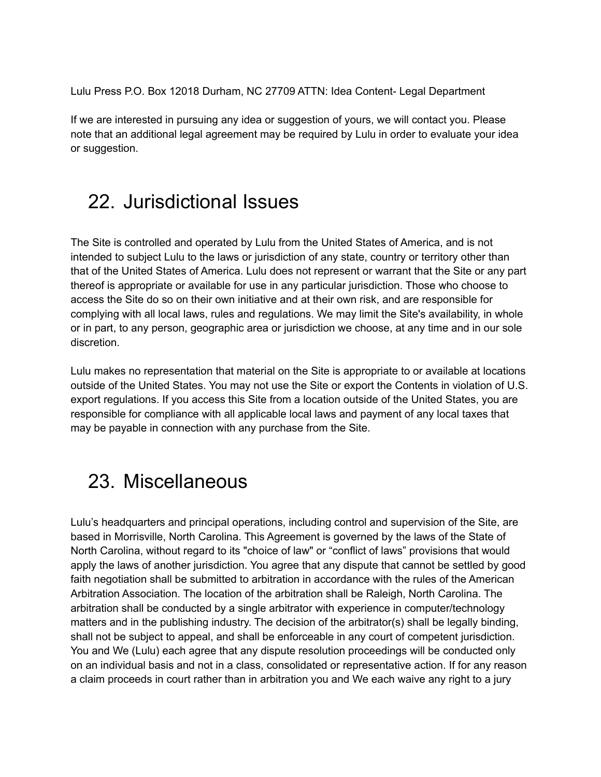Lulu Press P.O. Box 12018 Durham, NC 27709 ATTN: Idea Content- Legal Department

If we are interested in pursuing any idea or suggestion of yours, we will contact you. Please note that an additional legal agreement may be required by Lulu in order to evaluate your idea or suggestion.

#### <span id="page-20-0"></span>22. Jurisdictional Issues

The Site is controlled and operated by Lulu from the United States of America, and is not intended to subject Lulu to the laws or jurisdiction of any state, country or territory other than that of the United States of America. Lulu does not represent or warrant that the Site or any part thereof is appropriate or available for use in any particular jurisdiction. Those who choose to access the Site do so on their own initiative and at their own risk, and are responsible for complying with all local laws, rules and regulations. We may limit the Site's availability, in whole or in part, to any person, geographic area or jurisdiction we choose, at any time and in our sole discretion.

Lulu makes no representation that material on the Site is appropriate to or available at locations outside of the United States. You may not use the Site or export the Contents in violation of U.S. export regulations. If you access this Site from a location outside of the United States, you are responsible for compliance with all applicable local laws and payment of any local taxes that may be payable in connection with any purchase from the Site.

#### <span id="page-20-1"></span>23. Miscellaneous

Lulu's headquarters and principal operations, including control and supervision of the Site, are based in Morrisville, North Carolina. This Agreement is governed by the laws of the State of North Carolina, without regard to its "choice of law" or "conflict of laws" provisions that would apply the laws of another jurisdiction. You agree that any dispute that cannot be settled by good faith negotiation shall be submitted to arbitration in accordance with the rules of the American Arbitration Association. The location of the arbitration shall be Raleigh, North Carolina. The arbitration shall be conducted by a single arbitrator with experience in computer/technology matters and in the publishing industry. The decision of the arbitrator(s) shall be legally binding, shall not be subject to appeal, and shall be enforceable in any court of competent jurisdiction. You and We (Lulu) each agree that any dispute resolution proceedings will be conducted only on an individual basis and not in a class, consolidated or representative action. If for any reason a claim proceeds in court rather than in arbitration you and We each waive any right to a jury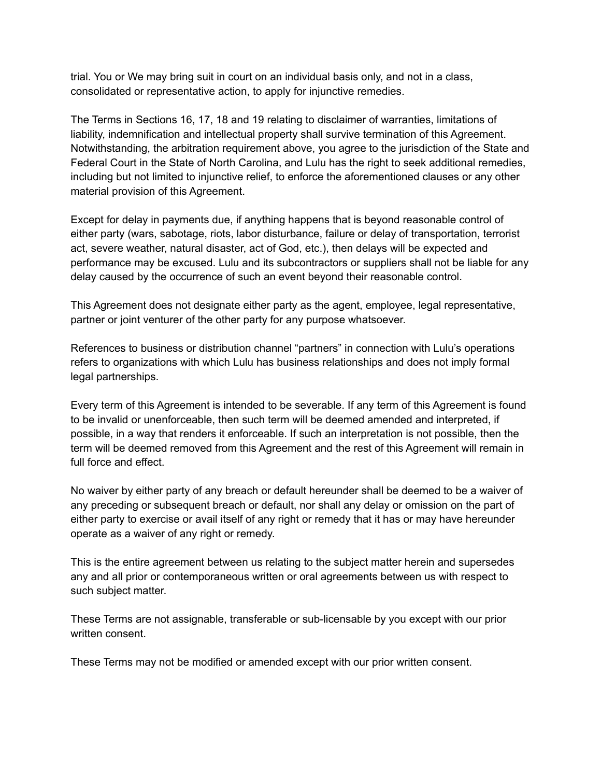trial. You or We may bring suit in court on an individual basis only, and not in a class, consolidated or representative action, to apply for injunctive remedies.

The Terms in Sections 16, 17, 18 and 19 relating to disclaimer of warranties, limitations of liability, indemnification and intellectual property shall survive termination of this Agreement. Notwithstanding, the arbitration requirement above, you agree to the jurisdiction of the State and Federal Court in the State of North Carolina, and Lulu has the right to seek additional remedies, including but not limited to injunctive relief, to enforce the aforementioned clauses or any other material provision of this Agreement.

Except for delay in payments due, if anything happens that is beyond reasonable control of either party (wars, sabotage, riots, labor disturbance, failure or delay of transportation, terrorist act, severe weather, natural disaster, act of God, etc.), then delays will be expected and performance may be excused. Lulu and its subcontractors or suppliers shall not be liable for any delay caused by the occurrence of such an event beyond their reasonable control.

This Agreement does not designate either party as the agent, employee, legal representative, partner or joint venturer of the other party for any purpose whatsoever.

References to business or distribution channel "partners" in connection with Lulu's operations refers to organizations with which Lulu has business relationships and does not imply formal legal partnerships.

Every term of this Agreement is intended to be severable. If any term of this Agreement is found to be invalid or unenforceable, then such term will be deemed amended and interpreted, if possible, in a way that renders it enforceable. If such an interpretation is not possible, then the term will be deemed removed from this Agreement and the rest of this Agreement will remain in full force and effect.

No waiver by either party of any breach or default hereunder shall be deemed to be a waiver of any preceding or subsequent breach or default, nor shall any delay or omission on the part of either party to exercise or avail itself of any right or remedy that it has or may have hereunder operate as a waiver of any right or remedy.

This is the entire agreement between us relating to the subject matter herein and supersedes any and all prior or contemporaneous written or oral agreements between us with respect to such subject matter.

These Terms are not assignable, transferable or sub-licensable by you except with our prior written consent.

These Terms may not be modified or amended except with our prior written consent.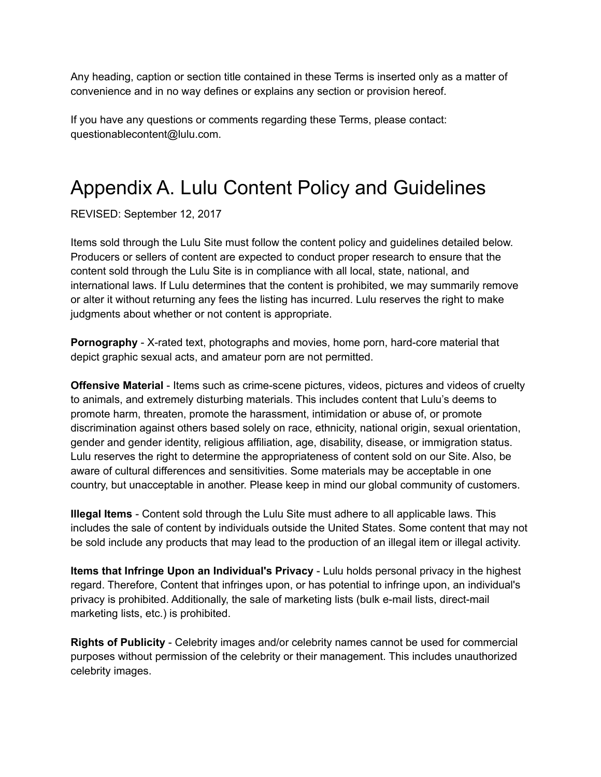Any heading, caption or section title contained in these Terms is inserted only as a matter of convenience and in no way defines or explains any section or provision hereof.

If you have any questions or comments regarding these Terms, please contact: questionablecontent@lulu.com.

## <span id="page-22-0"></span>Appendix A. Lulu Content Policy and Guidelines

REVISED: September 12, 2017

Items sold through the Lulu Site must follow the content policy and guidelines detailed below. Producers or sellers of content are expected to conduct proper research to ensure that the content sold through the Lulu Site is in compliance with all local, state, national, and international laws. If Lulu determines that the content is prohibited, we may summarily remove or alter it without returning any fees the listing has incurred. Lulu reserves the right to make judgments about whether or not content is appropriate.

**Pornography** - X-rated text, photographs and movies, home porn, hard-core material that depict graphic sexual acts, and amateur porn are not permitted.

**Offensive Material** - Items such as crime-scene pictures, videos, pictures and videos of cruelty to animals, and extremely disturbing materials. This includes content that Lulu's deems to promote harm, threaten, promote the harassment, intimidation or abuse of, or promote discrimination against others based solely on race, ethnicity, national origin, sexual orientation, gender and gender identity, religious affiliation, age, disability, disease, or immigration status. Lulu reserves the right to determine the appropriateness of content sold on our Site. Also, be aware of cultural differences and sensitivities. Some materials may be acceptable in one country, but unacceptable in another. Please keep in mind our global community of customers.

**Illegal Items** - Content sold through the Lulu Site must adhere to all applicable laws. This includes the sale of content by individuals outside the United States. Some content that may not be sold include any products that may lead to the production of an illegal item or illegal activity.

**Items that Infringe Upon an Individual's Privacy** - Lulu holds personal privacy in the highest regard. Therefore, Content that infringes upon, or has potential to infringe upon, an individual's privacy is prohibited. Additionally, the sale of marketing lists (bulk e-mail lists, direct-mail marketing lists, etc.) is prohibited.

**Rights of Publicity** - Celebrity images and/or celebrity names cannot be used for commercial purposes without permission of the celebrity or their management. This includes unauthorized celebrity images.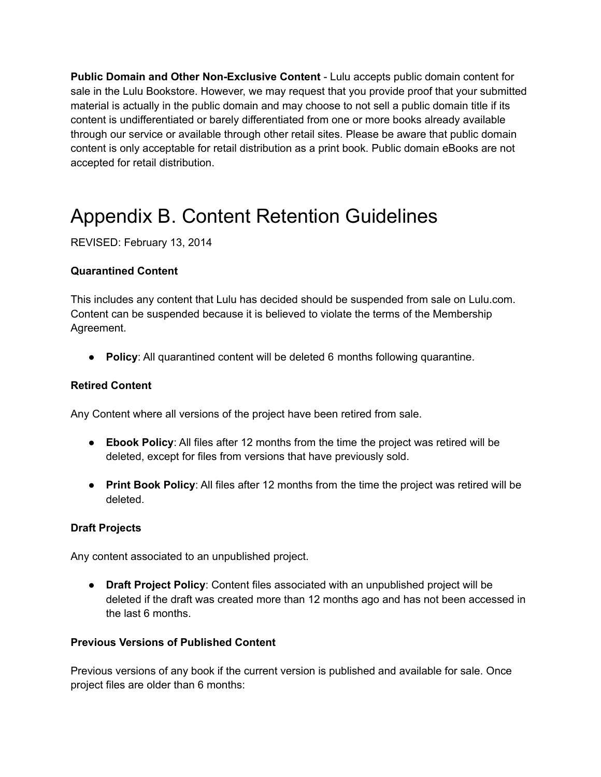**Public Domain and Other Non-Exclusive Content** - Lulu accepts public domain content for sale in the Lulu Bookstore. However, we may request that you provide proof that your submitted material is actually in the public domain and may choose to not sell a public domain title if its content is undifferentiated or barely differentiated from one or more books already available through our service or available through other retail sites. Please be aware that public domain content is only acceptable for retail distribution as a print book. Public domain eBooks are not accepted for retail distribution.

## <span id="page-23-0"></span>Appendix B. Content Retention Guidelines

REVISED: February 13, 2014

#### **Quarantined Content**

This includes any content that Lulu has decided should be suspended from sale on Lulu.com. Content can be suspended because it is believed to violate the terms of the Membership Agreement.

● **Policy**: All quarantined content will be deleted 6 months following quarantine.

#### **Retired Content**

Any Content where all versions of the project have been retired from sale.

- **Ebook Policy**: All files after 12 months from the time the project was retired will be deleted, except for files from versions that have previously sold.
- **Print Book Policy**: All files after 12 months from the time the project was retired will be deleted.

#### **Draft Projects**

Any content associated to an unpublished project.

● **Draft Project Policy**: Content files associated with an unpublished project will be deleted if the draft was created more than 12 months ago and has not been accessed in the last 6 months.

#### **Previous Versions of Published Content**

Previous versions of any book if the current version is published and available for sale. Once project files are older than 6 months: